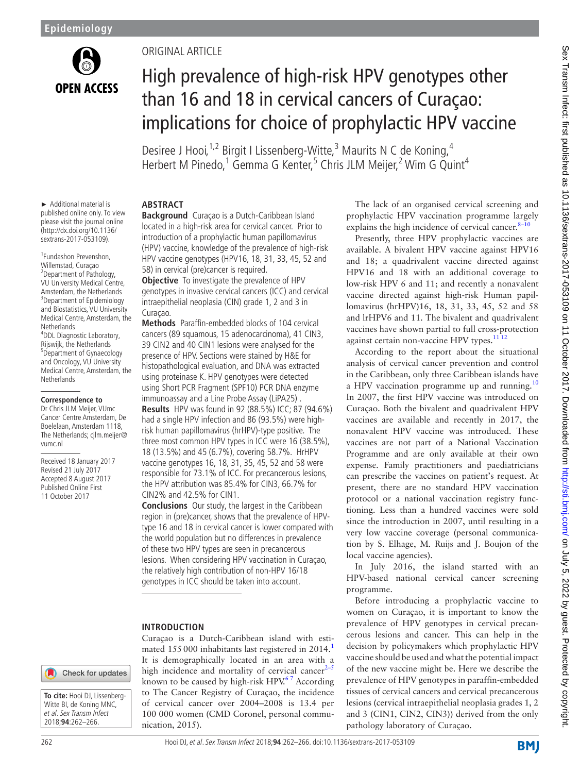

# Original Article

# High prevalence of high-risk HPV genotypes other than 16 and 18 in cervical cancers of Curaçao: implications for choice of prophylactic HPV vaccine

Desiree J Hooi,<sup>1,2</sup> Birgit I Lissenberg-Witte,<sup>3</sup> Maurits N C de Koning,<sup>4</sup> Herbert M Pinedo,<sup>1</sup> Gemma G Kenter,<sup>5</sup> Chris JLM Meijer,<sup>2</sup> Wim G Quint<sup>4</sup>

► Additional material is published online only. To view please visit the journal online (http://dx.doi.org/10.1136/ sextrans-2017-053109).

1 Fundashon Prevenshon, Willemstad, Curaçao <sup>2</sup> <sup>2</sup>Department of Pathology, VU University Medical Centre, Amsterdam, the Netherlands <sup>3</sup>Department of Epidemiology and Biostatistics, VU University Medical Centre, Amsterdam, the **Netherlands** 4 DDL Diagnostic Laboratory, Rijswijk, the Netherlands <sup>5</sup> <sup>5</sup>Department of Gynaecology and Oncology, VU University Medical Centre, Amsterdam, the Netherlands

#### **Correspondence to**

Dr Chris JLM Meijer, VUmc Cancer Centre Amsterdam, De Boelelaan, Amsterdam 1118, The Netherlands; cjlm.meijer@ vumc.nl

Received 18 January 2017 Revised 21 July 2017 Accepted 8 August 2017 Published Online First 11 October 2017

# **Abstract**

**Background** Curaçao is a Dutch-Caribbean Island located in a high-risk area for cervical cancer. Prior to introduction of a prophylactic human papillomavirus (HPV) vaccine, knowledge of the prevalence of high-risk HPV vaccine genotypes (HPV16, 18, 31, 33, 45, 52 and 58) in cervical (pre)cancer is required.

**Objective** To investigate the prevalence of HPV genotypes in invasive cervical cancers (ICC) and cervical intraepithelial neoplasia (CIN) grade 1, 2 and 3 in Curaçao.

**Methods** Paraffin-embedded blocks of 104 cervical cancers (89 squamous, 15 adenocarcinoma), 41 CIN3, 39 CIN2 and 40 CIN1 lesions were analysed for the presence of HPV. Sections were stained by H&E for histopathological evaluation, and DNA was extracted using proteinase K. HPV genotypes were detected using Short PCR Fragment (SPF10) PCR DNA enzyme immunoassay and a Line Probe Assay (LiPA25) .

**Results** HPV was found in 92 (88.5%) ICC; 87 (94.6%) had a single HPV infection and 86 (93.5%) were highrisk human papillomavirus (hrHPV)-type positive. The three most common HPV types in ICC were 16 (38.5%), 18 (13.5%) and 45 (6.7%), covering 58.7%. HrHPV vaccine genotypes 16, 18, 31, 35, 45, 52 and 58 were responsible for 73.1% of ICC. For precancerous lesions, the HPV attribution was 85.4% for CIN3, 66.7% for CIN2% and 42.5% for CIN1.

**Conclusions** Our study, the largest in the Caribbean region in (pre)cancer, shows that the prevalence of HPVtype 16 and 18 in cervical cancer is lower compared with the world population but no differences in prevalence of these two HPV types are seen in precancerous lesions. When considering HPV vaccination in Curaçao, the relatively high contribution of non-HPV 16/18 genotypes in ICC should be taken into account.

# **Introduction**

Curaçao is a Dutch-Caribbean island with estimated  $155000$  $155000$  inhabitants last registered in  $2014<sup>1</sup>$ It is demographically located in an area with a high incidence and mortality of cervical cancer $2-5$ known to be caused by high-risk HPV.<sup>67</sup> According to The Cancer Registry of Curaçao, the incidence of cervical cancer over 2004–2008 is 13.4 per 100 000 women (CMD Coronel, personal communication, 2015).

The lack of an organised cervical screening and prophylactic HPV vaccination programme largely explains the high incidence of cervical cancer. $8-10$ 

Presently, three HPV prophylactic vaccines are available. A bivalent HPV vaccine against HPV16 and 18; a quadrivalent vaccine directed against HPV16 and 18 with an additional coverage to low-risk HPV 6 and 11; and recently a nonavalent vaccine directed against high-risk Human papillomavirus (hrHPV)16, 18, 31, 33, 45, 52 and 58 and lrHPV6 and 11. The bivalent and quadrivalent vaccines have shown partial to full cross-protection against certain non-vaccine HPV types.<sup>11 12</sup>

According to the report about the situational analysis of cervical cancer prevention and control in the Caribbean, only three Caribbean islands have a HPV vaccination programme up and running.<sup>[10](#page-4-5)</sup> In 2007, the first HPV vaccine was introduced on Curaçao. Both the bivalent and quadrivalent HPV vaccines are available and recently in 2017, the nonavalent HPV vaccine was introduced. These vaccines are not part of a National Vaccination Programme and are only available at their own expense. Family practitioners and paediatricians can prescribe the vaccines on patient's request. At present, there are no standard HPV vaccination protocol or a national vaccination registry functioning. Less than a hundred vaccines were sold since the introduction in 2007, until resulting in a very low vaccine coverage (personal communication by S. Elhage, M. Ruijs and J. Boujon of the local vaccine agencies).

In July 2016, the island started with an HPV-based national cervical cancer screening programme.

Before introducing a prophylactic vaccine to women on Curaçao, it is important to know the prevalence of HPV genotypes in cervical precancerous lesions and cancer. This can help in the decision by policymakers which prophylactic HPV vaccine should be used and what the potential impact of the new vaccine might be. Here we describe the prevalence of HPV genotypes in paraffin-embedded tissues of cervical cancers and cervical precancerous lesions (cervical intraepithelial neoplasia grades 1, 2 and 3 (CIN1, CIN2, CIN3)) derived from the only pathology laboratory of Curaçao.

**BMI** 

**To cite:** Hooi DJ, Lissenberg-Witte BI, de Koning MNC, et al. Sex Transm Infect 2018;**94**:262–266.

Check for updates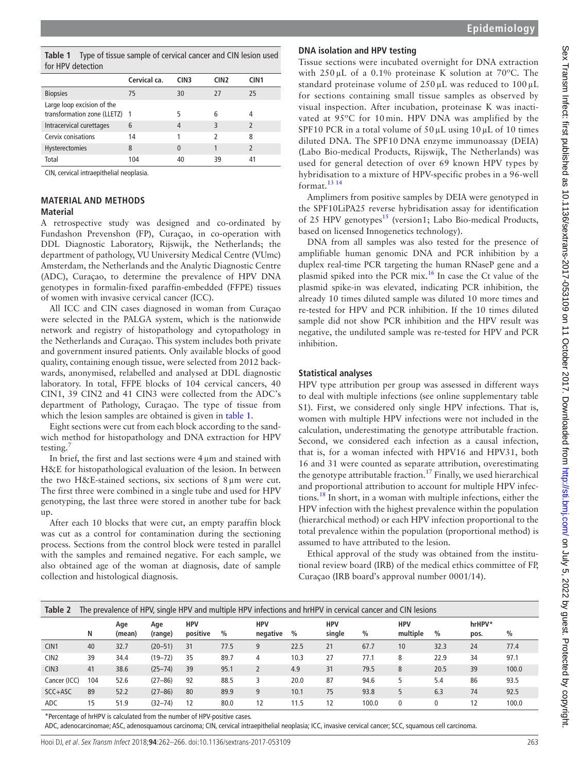<span id="page-1-0"></span>**Table 1** Type of tissue sample of cervical cancer and CIN lesion used for HPV detection

| $19111$ v gelection                                         |              |                  |                          |                          |  |  |  |  |  |
|-------------------------------------------------------------|--------------|------------------|--------------------------|--------------------------|--|--|--|--|--|
|                                                             | Cervical ca. | CIN <sub>3</sub> | CIN <sub>2</sub>         | CIN <sub>1</sub>         |  |  |  |  |  |
| <b>Biopsies</b>                                             | 75           | 30               | 27                       | 25                       |  |  |  |  |  |
| Large loop excision of the<br>transformation zone (LLETZ) 1 |              | 5                | 6                        | 4                        |  |  |  |  |  |
| Intracervical curettages                                    | 6            | 4                | 3                        | $\overline{\phantom{0}}$ |  |  |  |  |  |
| Cervix conisations                                          | 14           |                  | $\overline{\phantom{a}}$ | 8                        |  |  |  |  |  |
| Hysterectomies                                              | 8            | 0                |                          | $\overline{\phantom{0}}$ |  |  |  |  |  |
| Total                                                       | 104          | 40               | 39                       | 41                       |  |  |  |  |  |

CIN, cervical intraepithelial neoplasia.

#### **Material and methods Material**

A retrospective study was designed and co-ordinated by Fundashon Prevenshon (FP), Curaçao, in co-operation with DDL Diagnostic Laboratory, Rijswijk, the Netherlands; the department of pathology, VU University Medical Centre (VUmc) Amsterdam, the Netherlands and the Analytic Diagnostic Centre (ADC), Curaçao, to determine the prevalence of HPV DNA genotypes in formalin-fixed paraffin-embedded (FFPE) tissues of women with invasive cervical cancer (ICC).

All ICC and CIN cases diagnosed in woman from Curaçao were selected in the PALGA system, which is the nationwide network and registry of histopathology and cytopathology in the Netherlands and Curaçao. This system includes both private and government insured patients. Only available blocks of good quality, containing enough tissue, were selected from 2012 backwards, anonymised, relabelled and analysed at DDL diagnostic laboratory. In total, FFPE blocks of 104 cervical cancers, 40 CIN1, 39 CIN2 and 41 CIN3 were collected from the ADC's department of Pathology, Curaçao. The type of tissue from which the lesion samples are obtained is given in [table](#page-1-0) 1.

Eight sections were cut from each block according to the sandwich method for histopathology and DNA extraction for HPV testing.

In brief, the first and last sections were 4µm and stained with H&E for histopathological evaluation of the lesion. In between the two H&E-stained sections, six sections of 8µm were cut. The first three were combined in a single tube and used for HPV genotyping, the last three were stored in another tube for back up.

After each 10 blocks that were cut, an empty paraffin block was cut as a control for contamination during the sectioning process. Sections from the control block were tested in parallel with the samples and remained negative. For each sample, we also obtained age of the woman at diagnosis, date of sample collection and histological diagnosis.

# **DNA isolation and HPV testing**

Tissue sections were incubated overnight for DNA extraction with 250 µL of a 0.1% proteinase K solution at 70ºC. The standard proteinase volume of  $250 \mu$ L was reduced to  $100 \mu$ L for sections containing small tissue samples as observed by visual inspection. After incubation, proteinase K was inactivated at 95ºC for 10 min. HPV DNA was amplified by the SPF10 PCR in a total volume of  $50 \mu$ L using  $10 \mu$ L of 10 times diluted DNA. The SPF10 DNA enzyme immunoassay (DEIA) (Labo Bio-medical Products, Rijswijk, The Netherlands) was used for general detection of over 69 known HPV types by hybridisation to a mixture of HPV-specific probes in a 96-well format. $13 14$ 

Amplimers from positive samples by DEIA were genotyped in the SPF10LiPA25 reverse hybridisation assay for identification of 25 HPV genotypes<sup>[15](#page-4-8)</sup> (version1; Labo Bio-medical Products, based on licensed Innogenetics technology).

DNA from all samples was also tested for the presence of amplifiable human genomic DNA and PCR inhibition by a duplex real-time PCR targeting the human RNaseP gene and a plasmid spiked into the PCR mix.<sup>16</sup> In case the Ct value of the plasmid spike-in was elevated, indicating PCR inhibition, the already 10 times diluted sample was diluted 10 more times and re-tested for HPV and PCR inhibition. If the 10 times diluted sample did not show PCR inhibition and the HPV result was negative, the undiluted sample was re-tested for HPV and PCR inhibition.

# **Statistical analyses**

HPV type attribution per group was assessed in different ways to deal with multiple infections (see online [supplementary table](https://dx.doi.org/10.1136/sextrans-2017-053109) [S1](https://dx.doi.org/10.1136/sextrans-2017-053109)). First, we considered only single HPV infections. That is, women with multiple HPV infections were not included in the calculation, underestimating the genotype attributable fraction. Second, we considered each infection as a causal infection, that is, for a woman infected with HPV16 and HPV31, both 16 and 31 were counted as separate attribution, overestimating the genotype attributable fraction.<sup>17</sup> Finally, we used hierarchical and proportional attribution to account for multiple HPV infections.[18](#page-4-11) In short, in a woman with multiple infections, either the HPV infection with the highest prevalence within the population (hierarchical method) or each HPV infection proportional to the total prevalence within the population (proportional method) is assumed to have attributed to the lesion.

Ethical approval of the study was obtained from the institutional review board (IRB) of the medical ethics committee of FP, Curaçao (IRB board's approval number 0001/14).

<span id="page-1-1"></span>

| Table 2<br>The prevalence of HPV, single HPV and multiple HPV infections and hrHPV in cervical cancer and CIN lesions |     |               |                |                        |      |                        |      |                      |       |                        |               |                |       |
|-----------------------------------------------------------------------------------------------------------------------|-----|---------------|----------------|------------------------|------|------------------------|------|----------------------|-------|------------------------|---------------|----------------|-------|
|                                                                                                                       | N   | Age<br>(mean) | Age<br>(range) | <b>HPV</b><br>positive | $\%$ | <b>HPV</b><br>negative | %    | <b>HPV</b><br>single | $\%$  | <b>HPV</b><br>multiple | $\frac{0}{0}$ | hrHPV*<br>pos. | %     |
| CIN <sub>1</sub>                                                                                                      | 40  | 32.7          | $(20 - 51)$    | 31                     | 77.5 | 9                      | 22.5 | 21                   | 67.7  | 10                     | 32.3          | 24             | 77.4  |
| CIN <sub>2</sub>                                                                                                      | 39  | 34.4          | $(19 - 72)$    | 35                     | 89.7 | 4                      | 10.3 | 27                   | 77.1  | 8                      | 22.9          | 34             | 97.1  |
| CIN <sub>3</sub>                                                                                                      | 41  | 38.6          | $(25 - 74)$    | 39                     | 95.1 |                        | 4.9  | 31                   | 79.5  | 8                      | 20.5          | 39             | 100.0 |
| Cancer (ICC)                                                                                                          | 104 | 52.6          | $(27 - 86)$    | 92                     | 88.5 | 3                      | 20.0 | 87                   | 94.6  | 5                      | 5.4           | 86             | 93.5  |
| SCC+ASC                                                                                                               | 89  | 52.2          | $(27 - 86)$    | 80                     | 89.9 | 9                      | 10.1 | 75                   | 93.8  | 5                      | 6.3           | 74             | 92.5  |
| <b>ADC</b>                                                                                                            | 15  | 51.9          | $(32 - 74)$    | 12                     | 80.0 | 12                     | 11.5 | 12                   | 100.0 | $\mathbf{0}$           | 0             | 12             | 100.0 |

\*Percentage of hrHPV is calculated from the number of HPV-positive cases.

ADC, adenocarcinomae; ASC, adenosquamous carcinoma; CIN, cervical intraepithelial neoplasia; ICC, invasive cervical cancer; SCC, squamous cell carcinoma.

Hooi DJ, et al. Sex Transm Infect 2018;**94**:262–266. doi:10.1136/sextrans-2017-053109 263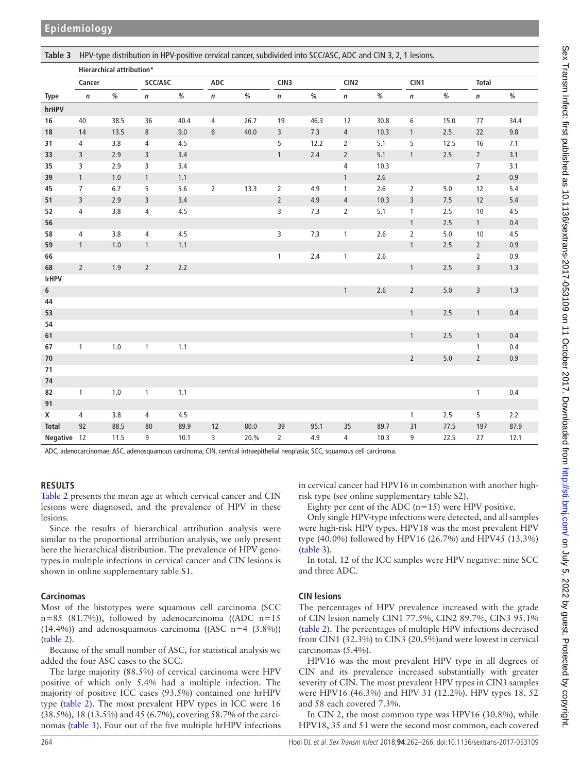<span id="page-2-0"></span>**Table 3** HPV-type distribution in HPV-positive cervical cancer, subdivided into SCC/ASC, ADC and CIN 3, 2, 1 lesions. **Type Hierarchical attribution\* Cancer SCC/ASC ADC CIN3 CIN2 CIN1 Total n % n % n % n % n % n % n % hrHPV 16** 40 38.5 36 40.4 4 26.7 19 46.3 12 30.8 6 15.0 77 34.4 **18** 14 13.5 8 9.0 6 40.0 3 7.3 4 10.3 1 2.5 22 9.8 **31** 4 3.8 4 4.5 5 12.2 2 5.1 5 12.5 16 7.1 **33** 3 2.9 3 3.4 1 2.4 2 5.1 1 2.5 7 3.1 **35** 3 2.9 3 3.4 4 10.3 7 3.1 **39** 1 1.0 1 1.1 1.1 2.6 2 0.9 **45** 7 6.7 5 5.6 2 13.3 2 4.9 1 2.6 2 5.0 12 5.4 **51** 3 2.9 3 3.4 2 4.9 4 10.3 3 7.5 12 5.4 **52** 4 3.8 4 4.5 3 7.3 2 5.1 1 2.5 10 4.5 **56** 1 2.5 1 0.4 **58** 4 3.8 4 4.5 3 7.3 1 2.6 2 5.0 10 4.5 **59** 1 1.0 1 1.1 1.1 2.5 2 0.9 **66** 2 0.9 **68** 2 1.9 2 2.2 2.2 2.2 2.5 3 1.3 **lrHPV 6** 1 2.6 2 5.0 3 1.3 **44 53** 1 2.5 1 0.4 **54 61** 1 2.5 1 0.4 **67** 1 1.0 1 1.1 1.1 1.1 1.1 1 0.4 **70** 2 5.0 2 0.9 **71 74 82** 1 1.0 1 1.1 1.1 **1** 0.4 **91 X** 4 3.8 4 4.5 1 2.5 5 2.2 **Total** 92 88.5 80 89.9 12 80.0 39 95.1 35 89.7 31 77.5 197 87.9 **Negative** 12 11.5 9 10.1 3 20.% 2 4.9 4 10.3 9 22.5 27 12.1

ADC, adenocarcinomae; ASC, adenosquamous carcinoma; CIN, cervical intraepithelial neoplasia; SCC, squamous cell carcinoma.

#### **Results**

[Table](#page-1-1) 2 presents the mean age at which cervical cancer and CIN lesions were diagnosed, and the prevalence of HPV in these lesions.

Since the results of hierarchical attribution analysis were similar to the proportional attribution analysis, we only present here the hierarchical distribution. The prevalence of HPV genotypes in multiple infections in cervical cancer and CIN lesions is shown in online [supplementary table S1](https://dx.doi.org/10.1136/sextrans-2017-053109).

#### **Carcinomas**

Most of the histotypes were squamous cell carcinoma (SCC  $n=85$  (81.7%)), followed by adenocarcinoma ((ADC  $n=15$ )  $(14.4\%)$  and adenosquamous carcinoma  $((\text{ASC } n=4 \ (3.8\%))$ ([table](#page-1-1) 2).

Because of the small number of ASC, for statistical analysis we added the four ASC cases to the SCC.

The large majority (88.5%) of cervical carcinoma were HPV positive of which only 5.4% had a multiple infection. The majority of positive ICC cases (93.5%) contained one hrHPV type ([table](#page-1-1) 2). The most prevalent HPV types in ICC were 16 (38.5%), 18 (13.5%) and 45 (6.7%), covering 58.7% of the carcinomas ([table](#page-2-0) 3). Four out of the five multiple hrHPV infections in cervical cancer had HPV16 in combination with another highrisk type (see online [supplementary table S2\)](https://dx.doi.org/10.1136/sextrans-2017-053109).

Eighty per cent of the ADC  $(n=15)$  were HPV positive.

Only single HPV-type infections were detected, and all samples were high-risk HPV types. HPV18 was the most prevalent HPV type (40.0%) followed by HPV16 (26.7%) and HPV45 (13.3%) ([table](#page-2-0) 3).

In total, 12 of the ICC samples were HPV negative: nine SCC and three ADC.

#### **CIN lesions**

The percentages of HPV prevalence increased with the grade of CIN lesion namely CIN1 77.5%, CIN2 89.7%, CIN3 95.1% ([table](#page-1-1) 2). The percentages of multiple HPV infections decreased from CIN1 (32.3%) to CIN3 (20.5%)and were lowest in cervical carcinomas (5.4%).

HPV16 was the most prevalent HPV type in all degrees of CIN and its prevalence increased substantially with greater severity of CIN. The most prevalent HPV types in CIN3 samples were HPV16 (46.3%) and HPV 31 (12.2%). HPV types 18, 52 and 58 each covered 7.3%.

In CIN 2, the most common type was HPV16 (30.8%), while HPV18, 35 and 51 were the second most common, each covered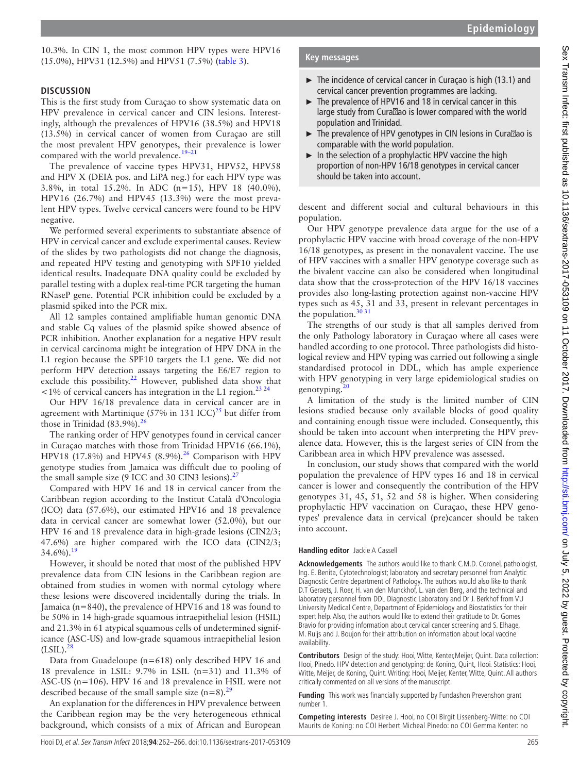10.3%. In CIN 1, the most common HPV types were HPV16 (15.0%), HPV31 (12.5%) and HPV51 (7.5%) [\(table](#page-2-0) 3).

### **Discussion**

This is the first study from Curaçao to show systematic data on HPV prevalence in cervical cancer and CIN lesions. Interestingly, although the prevalences of HPV16 (38.5%) and HPV18 (13.5%) in cervical cancer of women from Curaçao are still the most prevalent HPV genotypes, their prevalence is lower compared with the world prevalence.<sup>19-21</sup>

The prevalence of vaccine types HPV31, HPV52, HPV58 and HPV X (DEIA pos. and LiPA neg.) for each HPV type was 3.8%, in total 15.2%. In ADC (n=15), HPV 18 (40.0%), HPV16 (26.7%) and HPV45 (13.3%) were the most prevalent HPV types. Twelve cervical cancers were found to be HPV negative.

We performed several experiments to substantiate absence of HPV in cervical cancer and exclude experimental causes. Review of the slides by two pathologists did not change the diagnosis, and repeated HPV testing and genotyping with SPF10 yielded identical results. Inadequate DNA quality could be excluded by parallel testing with a duplex real-time PCR targeting the human RNaseP gene. Potential PCR inhibition could be excluded by a plasmid spiked into the PCR mix.

All 12 samples contained amplifiable human genomic DNA and stable Cq values of the plasmid spike showed absence of PCR inhibition. Another explanation for a negative HPV result in cervical carcinoma might be integration of HPV DNA in the L1 region because the SPF10 targets the L1 gene. We did not perform HPV detection assays targeting the E6/E7 region to exclude this possibility.<sup>22</sup> However, published data show that  $\leq$ 1% of cervical cancers has integration in the L1 region.<sup>[23 24](#page-4-14)</sup>

Our HPV 16/18 prevalence data in cervical cancer are in agreement with Martinique (57% in 131 ICC)<sup>25</sup> but differ from those in Trinidad  $(83.9\%)$ .<sup>[26](#page-4-16)</sup>

The ranking order of HPV genotypes found in cervical cancer in Curaçao matches with those from Trinidad HPV16 (66.1%), HPV18 (17.8%) and HPV45 (8.9%).<sup>26</sup> Comparison with HPV genotype studies from Jamaica was difficult due to pooling of the small sample size (9 ICC and 30 CIN3 lesions).<sup>2</sup>

Compared with HPV 16 and 18 in cervical cancer from the Caribbean region according to the Institut Català d'Oncologia (ICO) data (57.6%), our estimated HPV16 and 18 prevalence data in cervical cancer are somewhat lower (52.0%), but our HPV 16 and 18 prevalence data in high-grade lesions (CIN2/3; 47.6%) are higher compared with the ICO data (CIN2/3;  $34.6\%$ ).<sup>1</sup>

However, it should be noted that most of the published HPV prevalence data from CIN lesions in the Caribbean region are obtained from studies in women with normal cytology where these lesions were discovered incidentally during the trials. In Jamaica (n=840), the prevalence of HPV16 and 18 was found to be 50% in 14 high-grade squamous intraepithelial lesion (HSIL) and 21.3% in 61 atypical squamous cells of undetermined significance (ASC-US) and low-grade squamous intraepithelial lesion  $(LSIL).<sup>28</sup>$  $(LSIL).<sup>28</sup>$  $(LSIL).<sup>28</sup>$ 

Data from Guadeloupe (n=618) only described HPV 16 and 18 prevalence in LSIL: 9.7% in LSIL (n=31) and 11.3% of ASC-US (n=106). HPV 16 and 18 prevalence in HSIL were not described because of the small sample size  $(n=8)$ .<sup>29</sup>

An explanation for the differences in HPV prevalence between the Caribbean region may be the very heterogeneous ethnical background, which consists of a mix of African and European

# **Key messages**

- ► The incidence of cervical cancer in Curaçao is high (13.1) and cervical cancer prevention programmes are lacking.
- ► The prevalence of HPV16 and 18 in cervical cancer in this large study from Cura ao is lower compared with the world population and Trinidad.
- ► The prevalence of HPV genotypes in CIN lesions in Cura ao is comparable with the world population.
- ► In the selection of a prophylactic HPV vaccine the high proportion of non-HPV 16/18 genotypes in cervical cancer should be taken into account.

descent and different social and cultural behaviours in this population.

Our HPV genotype prevalence data argue for the use of a prophylactic HPV vaccine with broad coverage of the non-HPV 16/18 genotypes, as present in the nonavalent vaccine. The use of HPV vaccines with a smaller HPV genotype coverage such as the bivalent vaccine can also be considered when longitudinal data show that the cross-protection of the HPV 16/18 vaccines provides also long-lasting protection against non-vaccine HPV types such as 45, 31 and 33, present in relevant percentages in the population. $3031$ 

The strengths of our study is that all samples derived from the only Pathology laboratory in Curaçao where all cases were handled according to one protocol. Three pathologists did histological review and HPV typing was carried out following a single standardised protocol in DDL, which has ample experience with HPV genotyping in very large epidemiological studies on genotyping. $<sup>2</sup>$ </sup>

A limitation of the study is the limited number of CIN lesions studied because only available blocks of good quality and containing enough tissue were included. Consequently, this should be taken into account when interpreting the HPV prevalence data. However, this is the largest series of CIN from the Caribbean area in which HPV prevalence was assessed.

In conclusion, our study shows that compared with the world population the prevalence of HPV types 16 and 18 in cervical cancer is lower and consequently the contribution of the HPV genotypes 31, 45, 51, 52 and 58 is higher. When considering prophylactic HPV vaccination on Curaçao, these HPV genotypes' prevalence data in cervical (pre)cancer should be taken into account.

#### **Handling editor** Jackie A Cassell

**Acknowledgements** The authors would like to thank C.M.D. Coronel, pathologist, Ing. E. Benita, Cytotechnologist; laboratory and secretary personnel from Analytic Diagnostic Centre department of Pathology. The authors would also like to thank D.T Geraets, J. Roer, H. van den Munckhof, L. van den Berg, and the technical and laboratory personnel from DDL Diagnostic Laboratory and Dr J. Berkhof from VU University Medical Centre, Department of Epidemiology and Biostatistics for their expert help. Also, the authors would like to extend their gratitude to Dr. Gomes Bravio for providing information about cervical cancer screening and S. Elhage, M. Ruijs and J. Boujon for their attribution on information about local vaccine availability.

**Contributors** Design of the study: Hooi, Witte, Kenter,Meijer, Quint. Data collection: Hooi, Pinedo. HPV detection and genotyping: de Koning, Quint, Hooi. Statistics: Hooi, Witte, Meijer, de Koning, Quint. Writing: Hooi, Meijer, Kenter, Witte, Quint. All authors critically commented on all versions of the manuscript.

**Funding** This work was financially supported by Fundashon Prevenshon grant number 1.

**Competing interests** Desiree J. Hooi, no COI Birgit Lissenberg-Witte: no COI Maurits de Koning: no COI Herbert Micheal Pinedo: no COI Gemma Kenter: no